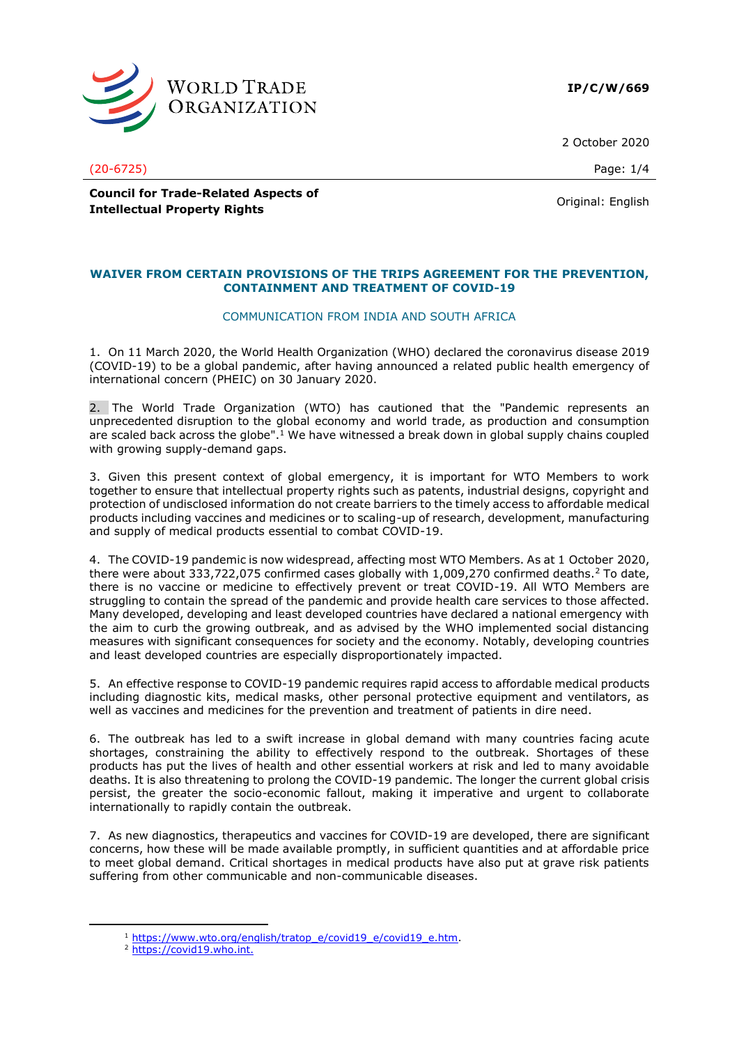

**IP/C/W/669**

2 October 2020

(20-6725) Page: 1/4

**Council for Trade-Related Aspects of Intellectual Property Rights Council Property Rights Council Property Rights Original:** English

# **WAIVER FROM CERTAIN PROVISIONS OF THE TRIPS AGREEMENT FOR THE PREVENTION, CONTAINMENT AND TREATMENT OF COVID-19**

# COMMUNICATION FROM INDIA AND SOUTH AFRICA

1. On 11 March 2020, the World Health Organization (WHO) declared the coronavirus disease 2019 (COVID-19) to be a global pandemic, after having announced a related public health emergency of international concern (PHEIC) on 30 January 2020.

2. The World Trade Organization (WTO) has cautioned that the "Pandemic represents an unprecedented disruption to the global economy and world trade, as production and consumption are scaled back across the globe".<sup>1</sup> We have witnessed a break down in global supply chains coupled with growing supply-demand gaps.

3. Given this present context of global emergency, it is important for WTO Members to work together to ensure that intellectual property rights such as patents, industrial designs, copyright and protection of undisclosed information do not create barriers to the timely access to affordable medical products including vaccines and medicines or to scaling-up of research, development, manufacturing and supply of medical products essential to combat COVID-19.

4. The COVID-19 pandemic is now widespread, affecting most WTO Members. As at 1 October 2020, there were about 333,722,075 confirmed cases globally with 1,009,270 confirmed deaths.<sup>2</sup> To date, there is no vaccine or medicine to effectively prevent or treat COVID-19. All WTO Members are struggling to contain the spread of the pandemic and provide health care services to those affected. Many developed, developing and least developed countries have declared a national emergency with the aim to curb the growing outbreak, and as advised by the WHO implemented social distancing measures with significant consequences for society and the economy. Notably, developing countries and least developed countries are especially disproportionately impacted.

5. An effective response to COVID-19 pandemic requires rapid access to affordable medical products including diagnostic kits, medical masks, other personal protective equipment and ventilators, as well as vaccines and medicines for the prevention and treatment of patients in dire need.

6. The outbreak has led to a swift increase in global demand with many countries facing acute shortages, constraining the ability to effectively respond to the outbreak. Shortages of these products has put the lives of health and other essential workers at risk and led to many avoidable deaths. It is also threatening to prolong the COVID-19 pandemic. The longer the current global crisis persist, the greater the socio-economic fallout, making it imperative and urgent to collaborate internationally to rapidly contain the outbreak.

7. As new diagnostics, therapeutics and vaccines for COVID-19 are developed, there are significant concerns, how these will be made available promptly, in sufficient quantities and at affordable price to meet global demand. Critical shortages in medical products have also put at grave risk patients suffering from other communicable and non-communicable diseases.

<sup>&</sup>lt;sup>1</sup> [https://www.wto.org/english/tratop\\_e/covid19\\_e/covid19\\_e.htm.](https://www.wto.org/english/tratop_e/covid19_e/covid19_e.htm)

<sup>2</sup> [https://covid19.who.int.](https://covid19.who.int./)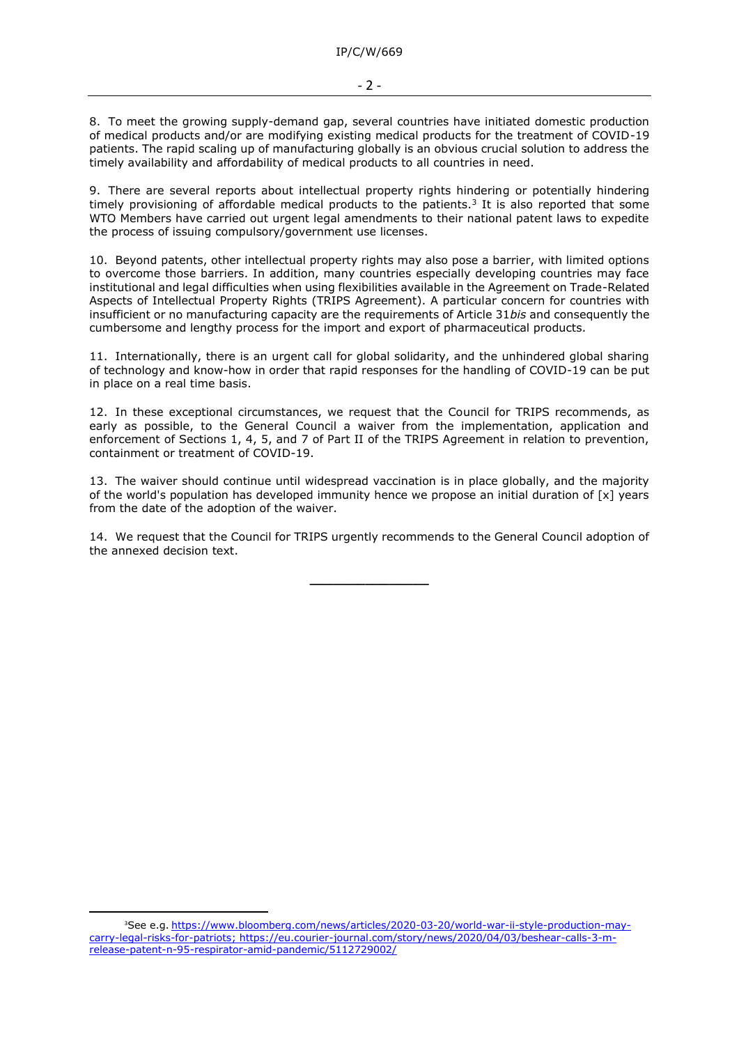## - 2 -

8. To meet the growing supply-demand gap, several countries have initiated domestic production of medical products and/or are modifying existing medical products for the treatment of COVID-19 patients. The rapid scaling up of manufacturing globally is an obvious crucial solution to address the timely availability and affordability of medical products to all countries in need.

9. There are several reports about intellectual property rights hindering or potentially hindering timely provisioning of affordable medical products to the patients.<sup>3</sup> It is also reported that some WTO Members have carried out urgent legal amendments to their national patent laws to expedite the process of issuing compulsory/government use licenses.

10. Beyond patents, other intellectual property rights may also pose a barrier, with limited options to overcome those barriers. In addition, many countries especially developing countries may face institutional and legal difficulties when using flexibilities available in the Agreement on Trade-Related Aspects of Intellectual Property Rights (TRIPS Agreement). A particular concern for countries with insufficient or no manufacturing capacity are the requirements of Article 31*bis* and consequently the cumbersome and lengthy process for the import and export of pharmaceutical products.

11. Internationally, there is an urgent call for global solidarity, and the unhindered global sharing of technology and know-how in order that rapid responses for the handling of COVID-19 can be put in place on a real time basis.

12. In these exceptional circumstances, we request that the Council for TRIPS recommends, as early as possible, to the General Council a waiver from the implementation, application and enforcement of Sections 1, 4, 5, and 7 of Part II of the TRIPS Agreement in relation to prevention, containment or treatment of COVID-19.

13. The waiver should continue until widespread vaccination is in place globally, and the majority of the world's population has developed immunity hence we propose an initial duration of [x] years from the date of the adoption of the waiver.

14. We request that the Council for TRIPS urgently recommends to the General Council adoption of the annexed decision text.

**\_\_\_\_\_\_\_\_\_\_\_\_\_\_\_**

<sup>&</sup>lt;sup>3</sup>See e.g. [https://www.bloomberg.com/news/articles/2020-03-20/world-war-ii-style-production-may](https://www.bloomberg.com/news/articles/2020-03-20/world-war-ii-style-production-may-carry-legal-risks-for-patriots)[carry-legal-risks-for-patriots;](https://www.bloomberg.com/news/articles/2020-03-20/world-war-ii-style-production-may-carry-legal-risks-for-patriots) [https://eu.courier-journal.com/story/news/2020/04/03/beshear-calls-3-m](https://eu.courier-journal.com/story/news/2020/04/03/beshear-calls-3-m-release-patent-n-95-respirator-amid-pandemic/5112729002/)[release-patent-n-95-respirator-amid-pandemic/5112729002/](https://eu.courier-journal.com/story/news/2020/04/03/beshear-calls-3-m-release-patent-n-95-respirator-amid-pandemic/5112729002/)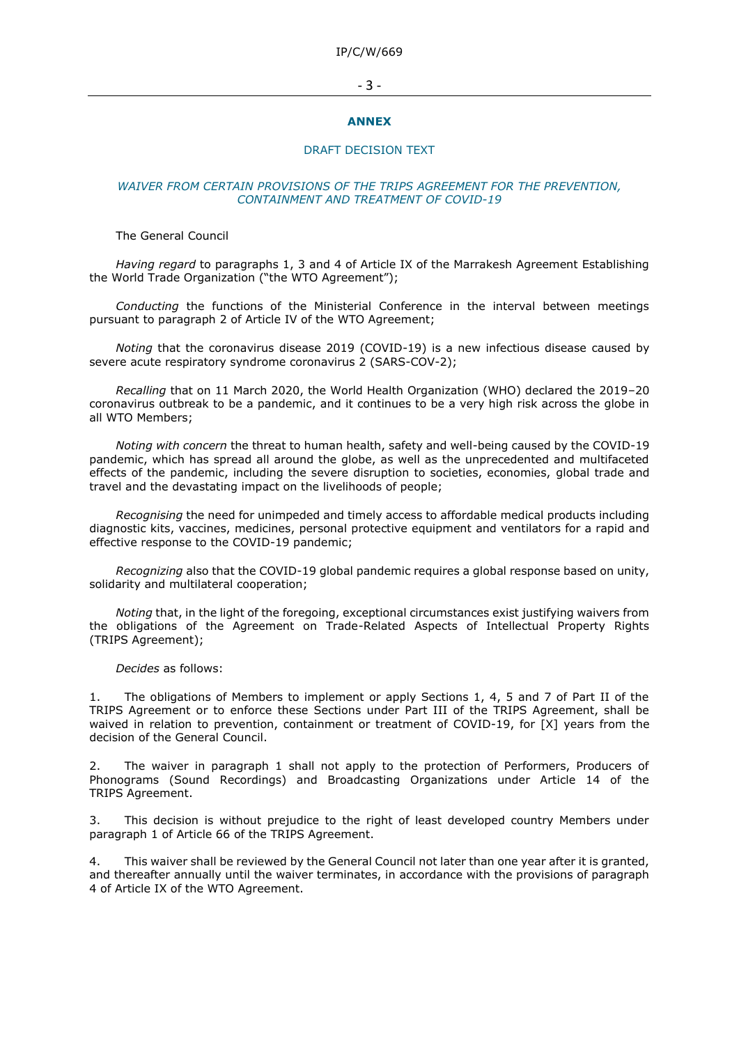IP/C/W/669

#### - 3 -

#### **ANNEX**

## DRAFT DECISION TEXT

# *WAIVER FROM CERTAIN PROVISIONS OF THE TRIPS AGREEMENT FOR THE PREVENTION, CONTAINMENT AND TREATMENT OF COVID-19*

#### The General Council

*Having regard* to paragraphs 1, 3 and 4 of Article IX of the Marrakesh Agreement Establishing the World Trade Organization ("the WTO Agreement");

*Conducting* the functions of the Ministerial Conference in the interval between meetings pursuant to paragraph 2 of Article IV of the WTO Agreement;

*Noting* that the coronavirus disease 2019 (COVID-19) is a new infectious disease caused by severe acute respiratory syndrome coronavirus 2 (SARS-COV-2);

*Recalling* that on 11 March 2020, the World Health Organization (WHO) declared the 2019–20 coronavirus outbreak to be a pandemic, and it continues to be a very high risk across the globe in all WTO Members;

*Noting with concern* the threat to human health, safety and well-being caused by the COVID-19 pandemic, which has spread all around the globe, as well as the unprecedented and multifaceted effects of the pandemic, including the severe disruption to societies, economies, global trade and travel and the devastating impact on the livelihoods of people;

*Recognising* the need for unimpeded and timely access to affordable medical products including diagnostic kits, vaccines, medicines, personal protective equipment and ventilators for a rapid and effective response to the COVID-19 pandemic;

*Recognizing* also that the COVID-19 global pandemic requires a global response based on unity, solidarity and multilateral cooperation;

*Noting* that, in the light of the foregoing, exceptional circumstances exist justifying waivers from the obligations of the Agreement on Trade-Related Aspects of Intellectual Property Rights (TRIPS Agreement);

#### *Decides* as follows:

The obligations of Members to implement or apply Sections 1, 4, 5 and 7 of Part II of the TRIPS Agreement or to enforce these Sections under Part III of the TRIPS Agreement, shall be waived in relation to prevention, containment or treatment of COVID-19, for [X] years from the decision of the General Council.

2. The waiver in paragraph 1 shall not apply to the protection of Performers, Producers of Phonograms (Sound Recordings) and Broadcasting Organizations under Article 14 of the TRIPS Agreement.

3. This decision is without prejudice to the right of least developed country Members under paragraph 1 of Article 66 of the TRIPS Agreement.

4. This waiver shall be reviewed by the General Council not later than one year after it is granted, and thereafter annually until the waiver terminates, in accordance with the provisions of paragraph 4 of Article IX of the WTO Agreement.